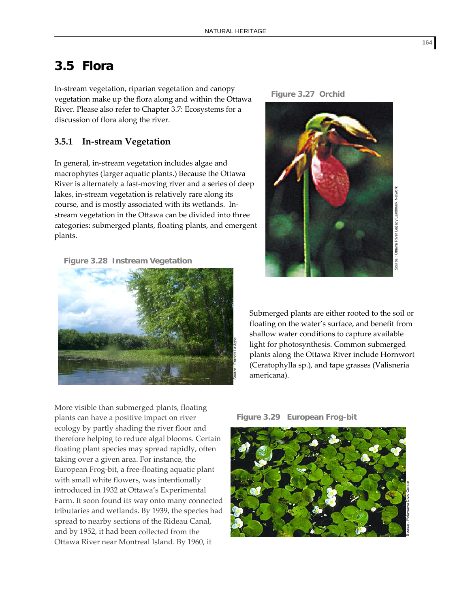## **3.5 Flora**

In‐stream vegetation, riparian vegetation and canopy vegetation make up the flora along and within the Ottawa River. Please also refer to Chapter 3.7: Ecosystems for a discussion of flora along the river.

## **3.5.1 In‐stream Vegetation**

In general, in‐stream vegetation includes algae and macrophytes (larger aquatic plants.) Because the Ottawa River is alternately a fast‐moving river and a series of deep lakes, in‐stream vegetation is relatively rare along its course, and is mostly associated with its wetlands. In‐ stream vegetation in the Ottawa can be divided into three categories: submerged plants, floating plants, and emergent plants.

**Figure 3.28 Instream Vegetation**







Submerged plants are either rooted to the soil or floating on the water's surface, and benefit from shallow water conditions to capture available light for photosynthesis. Common submerged plants along the Ottawa River include Hornwort (Ceratophylla sp.), and tape grasses (Valisneria americana).

More visible than submerged plants, floating plants can have a positive impact on river ecology by partly shading the river floor and therefore helping to reduce algal blooms. Certain floating plant species may spread rapidly, often taking over a given area. For instance, the European Frog‐bit, a free‐floating aquatic plant with small white flowers, was intentionally introduced in 1932 at Ottawa's Experimental Farm. It soon found its way onto many connected tributaries and wetlands. By 1939, the species had spread to nearby sections of the Rideau Canal, and by 1952, it had been collected from the Ottawa River near Montreal Island. By 1960, it



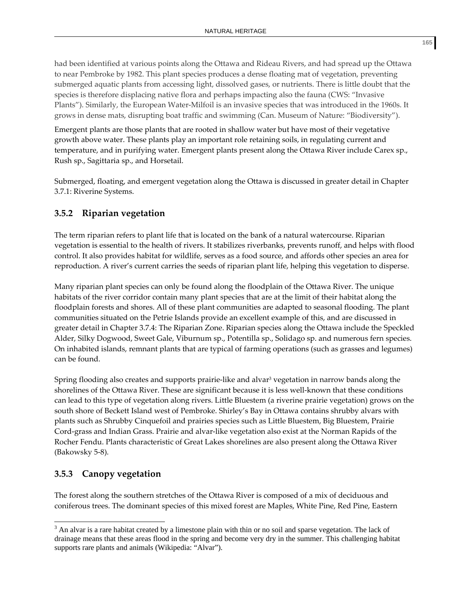had been identified at various points along the Ottawa and Rideau Rivers, and had spread up the Ottawa to near Pembroke by 1982. This plant species produces a dense floating mat of vegetation, preventing submerged aquatic plants from accessing light, dissolved gases, or nutrients. There is little doubt that the species is therefore displacing native flora and perhaps impacting also the fauna (CWS: "Invasive Plants"). Similarly, the European Water‐Milfoil is an invasive species that was introduced in the 1960s. It grows in dense mats, disrupting boat traffic and swimming (Can. Museum of Nature: "Biodiversity").

Emergent plants are those plants that are rooted in shallow water but have most of their vegetative growth above water. These plants play an important role retaining soils, in regulating current and temperature, and in purifying water. Emergent plants present along the Ottawa River include Carex sp., Rush sp., Sagittaria sp., and Horsetail.

Submerged, floating, and emergent vegetation along the Ottawa is discussed in greater detail in Chapter 3.7.1: Riverine Systems.

## **3.5.2 Riparian vegetation**

The term riparian refers to plant life that is located on the bank of a natural watercourse. Riparian vegetation is essential to the health of rivers. It stabilizes riverbanks, prevents runoff, and helps with flood control. It also provides habitat for wildlife, serves as a food source, and affords other species an area for reproduction. A river's current carries the seeds of riparian plant life, helping this vegetation to disperse.

Many riparian plant species can only be found along the floodplain of the Ottawa River. The unique habitats of the river corridor contain many plant species that are at the limit of their habitat along the floodplain forests and shores. All of these plant communities are adapted to seasonal flooding. The plant communities situated on the Petrie Islands provide an excellent example of this, and are discussed in greater detail in Chapter 3.7.4: The Riparian Zone. Riparian species along the Ottawa include the Speckled Alder, Silky Dogwood, Sweet Gale, Viburnum sp., Potentilla sp., Solidago sp. and numerous fern species. On inhabited islands, remnant plants that are typical of farming operations (such as grasses and legumes) can be found.

Spring flooding also creates and supports prairie-like and alvar<sup>3</sup> vegetation in narrow bands along the shorelines of the Ottawa River. These are significant because it is less well-known that these conditions can lead to this type of vegetation along rivers. Little Bluestem (a riverine prairie vegetation) grows on the south shore of Beckett Island west of Pembroke. Shirley's Bay in Ottawa contains shrubby alvars with plants such as Shrubby Cinquefoil and prairies species such as Little Bluestem, Big Bluestem, Prairie Cord‐grass and Indian Grass. Prairie and alvar‐like vegetation also exist at the Norman Rapids of the Rocher Fendu. Plants characteristic of Great Lakes shorelines are also present along the Ottawa River (Bakowsky 5‐8).

## **3.5.3 Canopy vegetation**

The forest along the southern stretches of the Ottawa River is composed of a mix of deciduous and coniferous trees. The dominant species of this mixed forest are Maples, White Pine, Red Pine, Eastern

l  $3$  An alvar is a rare habitat created by a limestone plain with thin or no soil and sparse vegetation. The lack of drainage means that these areas flood in the spring and become very dry in the summer. This challenging habitat supports rare plants and animals (Wikipedia: "Alvar").